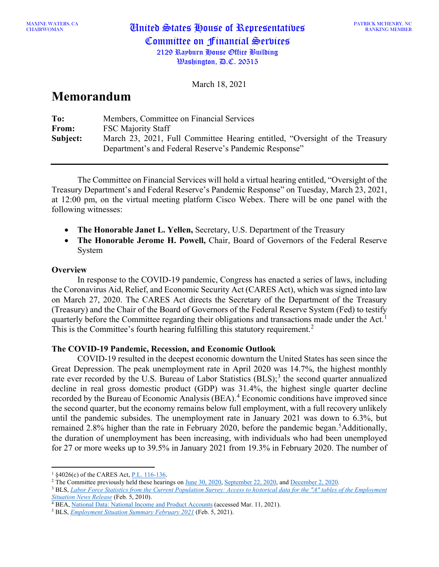CHAIRWOMAN United States House of Representatives Committee on Financial Services 2129 Rayburn House Office Building

Washington, D.C. 20515

March 18, 2021

# **Memorandum**

| To:          | Members, Committee on Financial Services                                    |
|--------------|-----------------------------------------------------------------------------|
| <b>From:</b> | <b>FSC Majority Staff</b>                                                   |
| Subject:     | March 23, 2021, Full Committee Hearing entitled, "Oversight of the Treasury |
|              | Department's and Federal Reserve's Pandemic Response"                       |

The Committee on Financial Services will hold a virtual hearing entitled, "Oversight of the Treasury Department's and Federal Reserve's Pandemic Response" on Tuesday, March 23, 2021, at 12:00 pm, on the virtual meeting platform Cisco Webex. There will be one panel with the following witnesses:

- **The Honorable Janet L. Yellen,** Secretary, U.S. Department of the Treasury
- **The Honorable Jerome H. Powell,** Chair, Board of Governors of the Federal Reserve System

# **Overview**

In response to the COVID-19 pandemic, Congress has enacted a series of laws, including the Coronavirus Aid, Relief, and Economic Security Act (CARES Act), which was signed into law on March 27, 2020. The CARES Act directs the Secretary of the Department of the Treasury (Treasury) and the Chair of the Board of Governors of the Federal Reserve System (Fed) to testify quarterly before the Committee regarding their obligations and transactions made under the Act.<sup>[1](#page-0-0)</sup> This is the Committee's fourth hearing fulfilling this statutory requirement.<sup>[2](#page-0-1)</sup>

## **The COVID-19 Pandemic, Recession, and Economic Outlook**

COVID-19 resulted in the deepest economic downturn the United States has seen since the Great Depression. The peak unemployment rate in April 2020 was 14.7%, the highest monthly rate ever recorded by the U.S. Bureau of Labor Statistics  $(BLS)$ ;<sup>[3](#page-0-2)</sup> the second quarter annualized decline in real gross domestic product (GDP) was 31.4%, the highest single quarter decline recorded by the Bureau of Economic Analysis (BEA).<sup>[4](#page-0-3)</sup> Economic conditions have improved since the second quarter, but the economy remains below full employment, with a full recovery unlikely until the pandemic subsides. The unemployment rate in January 2021 was down to 6.3%, but remained 2.8% higher than the rate in February 2020, before the pandemic began.<sup>[5](#page-0-4)</sup>Additionally, the duration of unemployment has been increasing, with individuals who had been unemployed for 27 or more weeks up to 39.5% in January 2021 from 19.3% in February 2020. The number of

<span id="page-0-1"></span><sup>2</sup> The Committee previously held these hearings o[n June 30, 2020,](https://financialservices.house.gov/calendar/eventsingle.aspx?EventID=406688) [September 22, 2020,](https://financialservices.house.gov/calendar/eventsingle.aspx?EventID=406869) an[d December 2, 2020.](https://financialservices.house.gov/calendar/eventsingle.aspx?EventID=407031)

<span id="page-0-0"></span><sup>1</sup> §4026(c) of the CARES Act[, P.L. 116-136.](https://www.congress.gov/bill/116th-congress/house-bill/748/text)

<span id="page-0-2"></span><sup>3</sup> BLS, *[Labor Force Statistics from the Current Population Survey: Access to historical data for the "A" tables of the Employment](https://www.bls.gov/cps/cpsatabs.htm)  [Situation News Release](https://www.bls.gov/cps/cpsatabs.htm)* (Feb. 5, 2010).

<span id="page-0-3"></span><sup>&</sup>lt;sup>4</sup> BEA, [National Data: National Income and Product Accounts](https://apps.bea.gov/iTable/iTable.cfm?reqid=19&step=2#reqid=19&step=2&isuri=1&1921=survey) (accessed Mar. 11, 2021).

<span id="page-0-4"></span><sup>5</sup> BLS, *[Employment Situation Summary February 2021](https://www.bls.gov/news.release/empsit.nr0.htm)* (Feb. 5, 2021).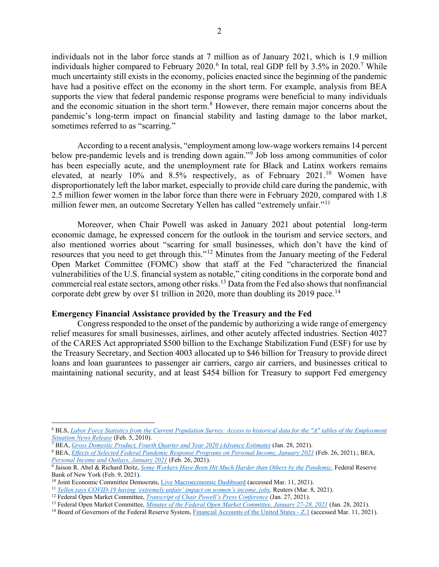individuals not in the labor force stands at 7 million as of January 2021, which is 1.9 million individuals higher compared to February 2020.<sup>[6](#page-1-0)</sup> In total, real GDP fell by 3.5% in 2020.<sup>[7](#page-1-1)</sup> While much uncertainty still exists in the economy, policies enacted since the beginning of the pandemic have had a positive effect on the economy in the short term. For example, analysis from BEA supports the view that federal pandemic response programs were beneficial to many individuals and the economic situation in the short term. [8](#page-1-2) However, there remain major concerns about the pandemic's long-term impact on financial stability and lasting damage to the labor market, sometimes referred to as "scarring."

According to a recent analysis, "employment among low-wage workers remains 14 percent below pre-pandemic levels and is trending down again."<sup>[9](#page-1-3)</sup> Job loss among communities of color has been especially acute, and the unemployment rate for Black and Latinx workers remains elevated, at nearly [10](#page-1-4)% and 8.5% respectively, as of February 2021.<sup>10</sup> Women have disproportionately left the labor market, especially to provide child care during the pandemic, with 2.5 million fewer women in the labor force than there were in February 2020, compared with 1.8 million fewer men, an outcome Secretary Yellen has called "extremely unfair."<sup>[11](#page-1-5)</sup>

Moreover, when Chair Powell was asked in January 2021 about potential long-term economic damage, he expressed concern for the outlook in the tourism and service sectors, and also mentioned worries about "scarring for small businesses, which don't have the kind of resources that you need to get through this."[12](#page-1-6) Minutes from the January meeting of the Federal Open Market Committee (FOMC) show that staff at the Fed "characterized the financial vulnerabilities of the U.S. financial system as notable," citing conditions in the corporate bond and commercial real estate sectors, among other risks.[13](#page-1-7) Data from the Fed also shows that nonfinancial corporate debt grew by over \$1 trillion in 2020, more than doubling its 2019 pace.<sup>[14](#page-1-8)</sup>

#### **Emergency Financial Assistance provided by the Treasury and the Fed**

Congress responded to the onset of the pandemic by authorizing a wide range of emergency relief measures for small businesses, airlines, and other acutely affected industries. Section 4027 of the CARES Act appropriated \$500 billion to the Exchange Stabilization Fund (ESF) for use by the Treasury Secretary, and Section 4003 allocated up to \$46 billion for Treasury to provide direct loans and loan guarantees to passenger air carriers, cargo air carriers, and businesses critical to maintaining national security, and at least \$454 billion for Treasury to support Fed emergency

<span id="page-1-0"></span><sup>6</sup> BLS, *[Labor Force Statistics from the Current Population Survey: Access to historical data for the "A" tables of the Employment](https://www.bls.gov/cps/cpsatabs.htm)  [Situation News Release](https://www.bls.gov/cps/cpsatabs.htm)* (Feb. 5, 2010).

<span id="page-1-1"></span><sup>7</sup> BEA, *[Gross Domestic Product, Fourth Quarter and Year 2020 \(Advance Estimate\)](https://www.bea.gov/sites/default/files/2021-01/gdp4q20_adv.pdf)* (Jan. 28, 2021).

<span id="page-1-2"></span><sup>8</sup> BEA, *[Effects of Selected Federal Pandemic Response Programs on Personal Income, January 2021](https://www.bea.gov/sites/default/files/2021-02/effects-of-selected-federal-pandemic-response-programs-on-personal-income-january-2021.pdf)* (Feb. 26, 2021).; BEA, *[Personal Income and Outlays, January 2021](https://www.bea.gov/news/2021/personal-income-and-outlays-january-2021)* (Feb. 26, 2021).

<span id="page-1-3"></span><sup>9</sup> Jaison R. Abel & Richard Deitz, *[Some Workers Have Been Hit Much Harder than Others by the Pandemic,](https://libertystreeteconomics.newyorkfed.org/2021/02/some-workers-have-been-hit-much-harder-than-others-by-the-pandemic.html)* Federal Reserve Bank of New York (Feb. 9, 2021).<br><sup>10</sup> Joint Economic Committee Democrats, Live Macroeconomic Dashboard (accessed Mar. 11, 2021).

<span id="page-1-4"></span>

<span id="page-1-5"></span><sup>&</sup>lt;sup>11</sup> [Yellen says COVID-19 having 'extremely unfair' impact on women's income, jobs,](https://www.reuters.com/article/us-usa-treasury-yellen-women/yellen-says-covid-19-having-extremely-unfair-impact-on-womens-income-jobs-idUSKBN2B01UP) Reuters (Mar. 8, 2021).

<span id="page-1-6"></span><sup>12</sup> Federal Open Market Committee, *[Transcript of Chair Powell's Press Conference](https://www.federalreserve.gov/mediacenter/files/FOMCpresconf20210127.pdf)* (Jan. 27, 2021).

<span id="page-1-7"></span><sup>13</sup> Federal Open Market Committee, *[Minutes of the Federal Open Market Committee, January 27-28, 2021](https://www.federalreserve.gov/monetarypolicy/files/fomcminutes20210127.pdf)* (Jan. 28, 2021).

<span id="page-1-8"></span><sup>&</sup>lt;sup>14</sup> Board of Governors of the Federal Reserve System, *Financial Accounts of the United States - Z.1* (accessed Mar. 11, 2021).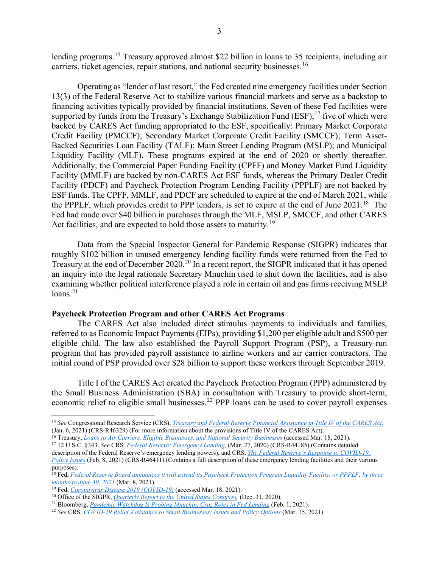lending programs.<sup>[15](#page-2-0)</sup> Treasury approved almost \$22 billion in loans to 35 recipients, including air carriers, ticket agencies, repair stations, and national security businesses.<sup>[16](#page-2-1)</sup>

Operating as "lender of last resort," the Fed created nine emergency facilities under Section 13(3) of the Federal Reserve Act to stabilize various financial markets and serve as a backstop to financing activities typically provided by financial institutions. Seven of these Fed facilities were supported by funds from the Treasury's Exchange Stabilization Fund (ESF),<sup>[17](#page-2-2)</sup> five of which were backed by CARES Act funding appropriated to the ESF, specifically: Primary Market Corporate Credit Facility (PMCCF); Secondary Market Corporate Credit Facility (SMCCF); Term Asset-Backed Securities Loan Facility (TALF); Main Street Lending Program (MSLP); and Municipal Liquidity Facility (MLF). These programs expired at the end of 2020 or shortly thereafter. Additionally, the Commercial Paper Funding Facility (CPFF) and Money Market Fund Liquidity Facility (MMLF) are backed by non-CARES Act ESF funds, whereas the Primary Dealer Credit Facility (PDCF) and Paycheck Protection Program Lending Facility (PPPLF) are not backed by ESF funds. The CPFF, MMLF, and PDCF are scheduled to expire at the end of March 2021, while the PPPLF, which provides credit to PPP lenders, is set to expire at the end of June 2021.<sup>[18](#page-2-3)</sup> The Fed had made over \$40 billion in purchases through the MLF, MSLP, SMCCF, and other CARES Act facilities, and are expected to hold those assets to maturity.<sup>[19](#page-2-4)</sup>

Data from the Special Inspector General for Pandemic Response (SIGPR) indicates that roughly \$102 billion in unused emergency lending facility funds were returned from the Fed to Treasury at the end of December [20](#page-2-5)20.<sup>20</sup> In a recent report, the SIGPR indicated that it has opened an inquiry into the legal rationale Secretary Mnuchin used to shut down the facilities, and is also examining whether political interference played a role in certain oil and gas firms receiving MSLP  $loans.<sup>21</sup>$  $loans.<sup>21</sup>$  $loans.<sup>21</sup>$ 

### **Paycheck Protection Program and other CARES Act Programs**

The CARES Act also included direct stimulus payments to individuals and families, referred to as Economic Impact Payments (EIPs), providing \$1,200 per eligible adult and \$500 per eligible child. The law also established the Payroll Support Program (PSP), a Treasury-run program that has provided payroll assistance to airline workers and air carrier contractors. The initial round of PSP provided over \$28 billion to support these workers through September 2019.

Title I of the CARES Act created the Paycheck Protection Program (PPP) administered by the Small Business Administration (SBA) in consultation with Treasury to provide short-term, economic relief to eligible small businesses.<sup>[22](#page-2-7)</sup> PPP loans can be used to cover payroll expenses

- <span id="page-2-1"></span><sup>16</sup> Treasury, *[Loans to Air Carriers, Eligible Businesses, and National Security Businesses](https://home.treasury.gov/policy-issues/cares/preserving-jobs-for-american-industry/loans-to-air-carriers-eligible-businesses-and-national-security-businesses)* (accessed Mar. 18, 2021).
- <span id="page-2-2"></span><sup>17</sup> 12 U.S.C. §343. *See* CRS*, [Federal Reserve: Emergency Lending,](https://www.everycrsreport.com/reports/R44185.html)* (Mar. 27, 2020) (CRS-R44185) (Contains detailed description of the Federal Reserve's emergency lending powers), and CRS, *[The Federal Reserve's Response to COVID-19:](https://crsreports.congress.gov/product/pdf/R/R46411)*

<span id="page-2-0"></span><sup>15</sup> *See* Congressional Research Service (CRS), *[Treasury and Federal Reserve Financial Assistance in Title IV of the CARES Act,](https://crsreports.congress.gov/product/pdf/R/R46329)* (Jan. 6, 2021) (CRS-R46329) (For more information about the provisions of Title IV of the CARES Act).

*[Policy Issues](https://crsreports.congress.gov/product/pdf/R/R46411)* (Feb. 8, 2021) (CRS-R46411) (Contains a full description of these emergency lending facilities and their various purposes).

<span id="page-2-3"></span><sup>18</sup> Fed, *Federal Reserve Board announces it will extend its Paycheck Protection Program Liquidity Facility, or PPPLF, by three months to June 30, 2021* (Mar. 8, 2021).

<span id="page-2-4"></span><sup>19</sup> Fed, *[Coronavirus Disease 2019 \(COVID-19\)](https://www.federalreserve.gov/covid-19.htm)* (accessed Mar. 18, 2021).

<span id="page-2-5"></span><sup>&</sup>lt;sup>20</sup> Office of the SIGPR, *Quarterly Report to the United States Congress*, *(Dec. 31, 2020).* 

<span id="page-2-6"></span><sup>21</sup> Bloomberg, *[Pandemic Watchdog Is Probing Mnuchin, Cruz Roles in Fed Lending](https://www.bloomberg.com/news/articles/2021-02-01/pandemic-watchdog-is-probing-mnuchin-cruz-roles-in-fed-lending)* (Feb. 1, 2021).

<span id="page-2-7"></span><sup>22</sup> *See* CRS, *[COVID-19 Relief Assistance to Small Businesses: Issues and Policy Options](https://www.crs.gov/Reports/R46284)* (Mar. 15, 2021)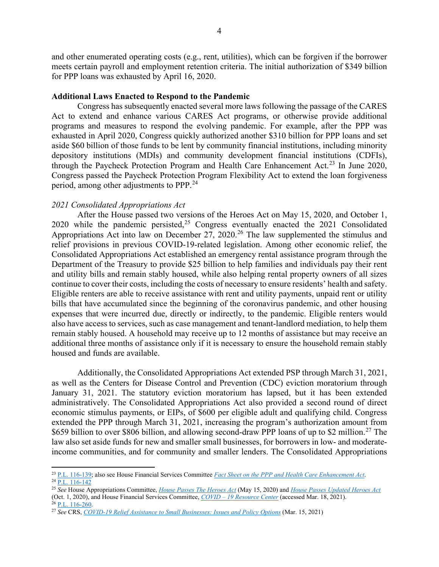and other enumerated operating costs (e.g., rent, utilities), which can be forgiven if the borrower meets certain payroll and employment retention criteria. The initial authorization of \$349 billion for PPP loans was exhausted by April 16, 2020.

#### **Additional Laws Enacted to Respond to the Pandemic**

Congress has subsequently enacted several more laws following the passage of the CARES Act to extend and enhance various CARES Act programs, or otherwise provide additional programs and measures to respond the evolving pandemic. For example, after the PPP was exhausted in April 2020, Congress quickly authorized another \$310 billion for PPP loans and set aside \$60 billion of those funds to be lent by community financial institutions, including minority depository institutions (MDIs) and community development financial institutions (CDFIs), through the Paycheck Protection Program and Health Care Enhancement Act.<sup>[23](#page-3-0)</sup> In June 2020, Congress passed the Paycheck Protection Program Flexibility Act to extend the loan forgiveness period, among other adjustments to PPP.[24](#page-3-1)

#### *2021 Consolidated Appropriations Act*

After the House passed two versions of the Heroes Act on May 15, 2020, and October 1, 2020 while the pandemic persisted, $25$  Congress eventually enacted the 2021 Consolidated Appropriations Act into law on December  $27$ ,  $2020$ .<sup>[26](#page-3-3)</sup> The law supplemented the stimulus and relief provisions in previous COVID-19-related legislation. Among other economic relief, the Consolidated Appropriations Act established an emergency rental assistance program through the Department of the Treasury to provide \$25 billion to help families and individuals pay their rent and utility bills and remain stably housed, while also helping rental property owners of all sizes continue to cover their costs, including the costs of necessary to ensure residents' health and safety. Eligible renters are able to receive assistance with rent and utility payments, unpaid rent or utility bills that have accumulated since the beginning of the coronavirus pandemic, and other housing expenses that were incurred due, directly or indirectly, to the pandemic. Eligible renters would also have access to services, such as case management and tenant-landlord mediation, to help them remain stably housed. A household may receive up to 12 months of assistance but may receive an additional three months of assistance only if it is necessary to ensure the household remain stably housed and funds are available.

Additionally, the Consolidated Appropriations Act extended PSP through March 31, 2021, as well as the Centers for Disease Control and Prevention (CDC) eviction moratorium through January 31, 2021. The statutory eviction moratorium has lapsed, but it has been extended administratively. The Consolidated Appropriations Act also provided a second round of direct economic stimulus payments, or EIPs, of \$600 per eligible adult and qualifying child. Congress extended the PPP through March 31, 2021, increasing the program's authorization amount from \$659 billion to over \$806 billion, and allowing second-draw PPP loans of up to \$2 million.<sup>[27](#page-3-4)</sup> The law also set aside funds for new and smaller small businesses, for borrowers in low- and moderateincome communities, and for community and smaller lenders. The Consolidated Appropriations

<span id="page-3-1"></span><span id="page-3-0"></span><sup>23</sup> [P.L. 116-139;](http://www.congress.gov/cgi-lis/bdquery/R?d116:FLD002:@1(116+139)) also see House Financial Services Committee *[Fact Sheet on the PPP and Health Care Enhancement Act](https://financialservices.house.gov/uploadedfiles/fsc_summary_of_ppp_and_health_care_enhancement_act.pdf)*.  $^{24}$  P.L.  $116-142$ 

<span id="page-3-2"></span><sup>25</sup> *See* House Appropriations Committee, *[House Passes The Heroes Act](https://appropriations.house.gov/news/press-releases/house-passes-heroes-act)* (May 15, 2020) and *[House Passes Updated Heroes Act](https://appropriations.house.gov/news/press-releases/house-passes-updated-heroes-act)* (Oct. 1, 2020), and House Financial Services Committee, *COVID – [19 Resource Center](https://financialservices.house.gov/issues/covid-19-resource-center.htm)* (accessed Mar. 18, 2021).

 $26$  P.L. [116-260.](https://www.congress.gov/bill/116th-congress/house-bill/133/text)

<span id="page-3-4"></span><span id="page-3-3"></span><sup>27</sup> *See* CRS, *[COVID-19 Relief Assistance to Small Businesses: Issues and Policy Options](http://www.crs.gov/Reports/R46284)* (Mar. 15, 2021)